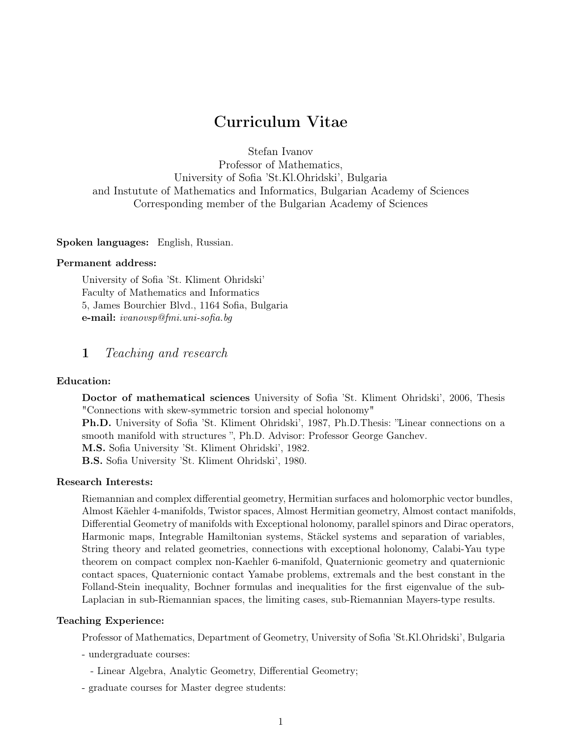# Curriculum Vitae

Stefan Ivanov Professor of Mathematics, University of Sofia 'St.Kl.Ohridski', Bulgaria and Instutute of Mathematics and Informatics, Bulgarian Academy of Sciences Corresponding member of the Bulgarian Academy of Sciences

Spoken languages: English, Russian.

#### Permanent address:

University of Sofia 'St. Kliment Ohridski' Faculty of Mathematics and Informatics 5, James Bourchier Blvd., 1164 Sofia, Bulgaria e-mail: ivanovsp@fmi.uni-sofia.bg

# 1 Teaching and research

#### Education:

Doctor of mathematical sciences University of Sofia 'St. Kliment Ohridski', 2006, Thesis "Connections with skew-symmetric torsion and special holonomy" Ph.D. University of Sofia 'St. Kliment Ohridski', 1987, Ph.D.Thesis: "Linear connections on a smooth manifold with structures ", Ph.D. Advisor: Professor George Ganchev.

M.S. Sofia University 'St. Kliment Ohridski', 1982.

B.S. Sofia University 'St. Kliment Ohridski', 1980.

# Research Interests:

Riemannian and complex differential geometry, Hermitian surfaces and holomorphic vector bundles, Almost Käehler 4-manifolds, Twistor spaces, Almost Hermitian geometry, Almost contact manifolds, Differential Geometry of manifolds with Exceptional holonomy, parallel spinors and Dirac operators, Harmonic maps, Integrable Hamiltonian systems, Stäckel systems and separation of variables, String theory and related geometries, connections with exceptional holonomy, Calabi-Yau type theorem on compact complex non-Kaehler 6-manifold, Quaternionic geometry and quaternionic contact spaces, Quaternionic contact Yamabe problems, extremals and the best constant in the Folland-Stein inequality, Bochner formulas and inequalities for the first eigenvalue of the sub-Laplacian in sub-Riemannian spaces, the limiting cases, sub-Riemannian Mayers-type results.

# Teaching Experience:

Professor of Mathematics, Department of Geometry, University of Sofia 'St.Kl.Ohridski', Bulgaria

- undergraduate courses:
	- Linear Algebra, Analytic Geometry, Differential Geometry;
- graduate courses for Master degree students: